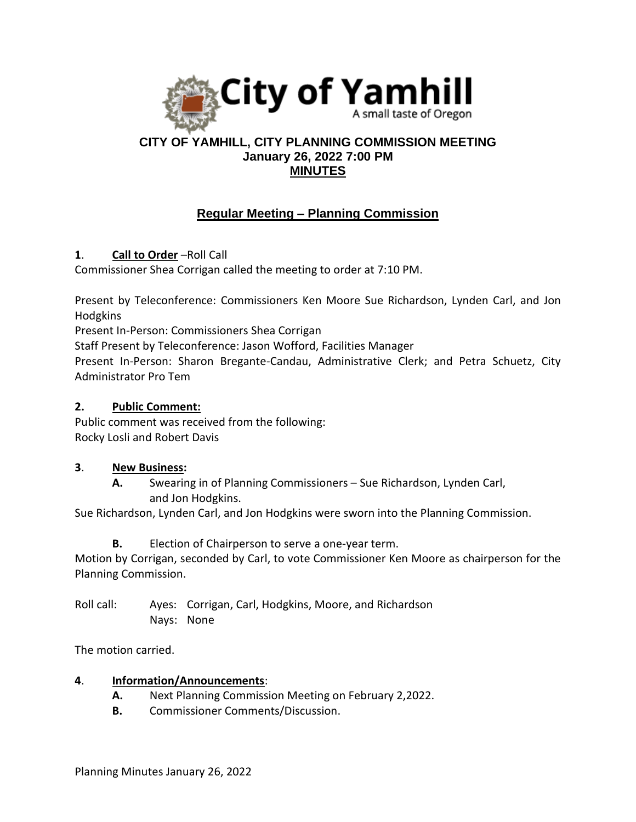

# **CITY OF YAMHILL, CITY PLANNING COMMISSION MEETING January 26, 2022 7:00 PM MINUTES**

# **Regular Meeting – Planning Commission**

**1**. **Call to Order** –Roll Call

Commissioner Shea Corrigan called the meeting to order at 7:10 PM.

Present by Teleconference: Commissioners Ken Moore Sue Richardson, Lynden Carl, and Jon Hodgkins

Present In-Person: Commissioners Shea Corrigan

Staff Present by Teleconference: Jason Wofford, Facilities Manager

Present In-Person: Sharon Bregante-Candau, Administrative Clerk; and Petra Schuetz, City Administrator Pro Tem

## **2. Public Comment:**

Public comment was received from the following: Rocky Losli and Robert Davis

### **3**. **New Business:**

**A.** Swearing in of Planning Commissioners – Sue Richardson, Lynden Carl, and Jon Hodgkins.

Sue Richardson, Lynden Carl, and Jon Hodgkins were sworn into the Planning Commission.

**B.** Election of Chairperson to serve a one-year term.

Motion by Corrigan, seconded by Carl, to vote Commissioner Ken Moore as chairperson for the Planning Commission.

Roll call: Ayes: Corrigan, Carl, Hodgkins, Moore, and Richardson Nays: None

The motion carried.

### **4**. **Information/Announcements**:

- **A.** Next Planning Commission Meeting on February 2,2022.
- **B.** Commissioner Comments/Discussion.